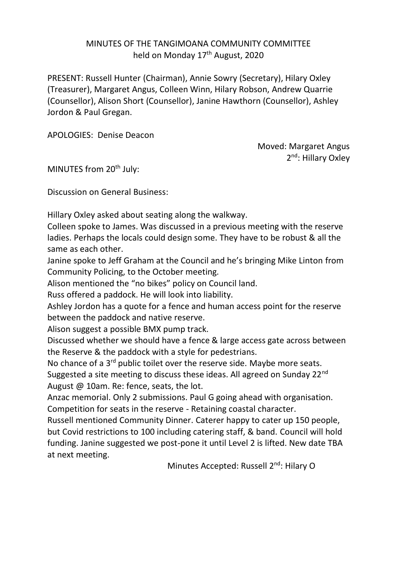## MINUTES OF THE TANGIMOANA COMMUNITY COMMITTEE held on Monday 17<sup>th</sup> August, 2020

PRESENT: Russell Hunter (Chairman), Annie Sowry (Secretary), Hilary Oxley (Treasurer), Margaret Angus, Colleen Winn, Hilary Robson, Andrew Quarrie (Counsellor), Alison Short (Counsellor), Janine Hawthorn (Counsellor), Ashley Jordon & Paul Gregan.

APOLOGIES: Denise Deacon

Moved: Margaret Angus 2<sup>nd</sup>: Hillary Oxley

MINUTES from 20<sup>th</sup> July:

Discussion on General Business:

Hillary Oxley asked about seating along the walkway.

Colleen spoke to James. Was discussed in a previous meeting with the reserve ladies. Perhaps the locals could design some. They have to be robust & all the same as each other.

Janine spoke to Jeff Graham at the Council and he's bringing Mike Linton from Community Policing, to the October meeting.

Alison mentioned the "no bikes" policy on Council land.

Russ offered a paddock. He will look into liability.

Ashley Jordon has a quote for a fence and human access point for the reserve between the paddock and native reserve.

Alison suggest a possible BMX pump track.

Discussed whether we should have a fence & large access gate across between the Reserve & the paddock with a style for pedestrians.

No chance of a 3<sup>rd</sup> public toilet over the reserve side. Maybe more seats.

Suggested a site meeting to discuss these ideas. All agreed on Sunday 22<sup>nd</sup> August @ 10am. Re: fence, seats, the lot.

Anzac memorial. Only 2 submissions. Paul G going ahead with organisation. Competition for seats in the reserve - Retaining coastal character.

Russell mentioned Community Dinner. Caterer happy to cater up 150 people, but Covid restrictions to 100 including catering staff, & band. Council will hold funding. Janine suggested we post-pone it until Level 2 is lifted. New date TBA at next meeting.

Minutes Accepted: Russell 2<sup>nd</sup>: Hilary O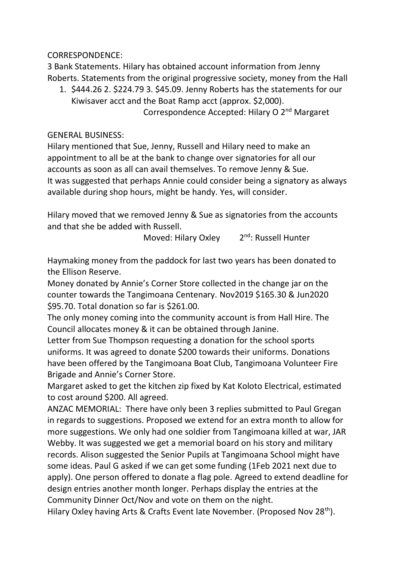CORRESPONDENCE:

3 Bank Statements. Hilary has obtained account information from Jenny Roberts. Statements from the original progressive society, money from the Hall

1. \$444.26 2. \$224.79 3. \$45.09. Jenny Roberts has the statements for our Kiwisaver acct and the Boat Ramp acct (approx. \$2,000). Correspondence Accepted: Hilary O 2nd Margaret

GENERAL BUSINESS:

Hilary mentioned that Sue, Jenny, Russell and Hilary need to make an appointment to all be at the bank to change over signatories for all our accounts as soon as all can avail themselves. To remove Jenny & Sue. It was suggested that perhaps Annie could consider being a signatory as always available during shop hours, might be handy. Yes, will consider.

Hilary moved that we removed Jenny & Sue as signatories from the accounts and that she be added with Russell.

> Moved: Hilary Oxley 2 2<sup>nd</sup>: Russell Hunter

Haymaking money from the paddock for last two years has been donated to the Ellison Reserve.

Money donated by Annie's Corner Store collected in the change jar on the counter towards the Tangimoana Centenary. Nov2019 \$165.30 & Jun2020 \$95.70. Total donation so far is \$261.00.

The only money coming into the community account is from Hall Hire. The Council allocates money & it can be obtained through Janine.

Letter from Sue Thompson requesting a donation for the school sports uniforms. It was agreed to donate \$200 towards their uniforms. Donations have been offered by the Tangimoana Boat Club, Tangimoana Volunteer Fire Brigade and Annie's Corner Store.

Margaret asked to get the kitchen zip fixed by Kat Koloto Electrical, estimated to cost around \$200. All agreed.

ANZAC MEMORIAL: There have only been 3 replies submitted to Paul Gregan in regards to suggestions. Proposed we extend for an extra month to allow for more suggestions. We only had one soldier from Tangimoana killed at war, JAR Webby. It was suggested we get a memorial board on his story and military records. Alison suggested the Senior Pupils at Tangimoana School might have some ideas. Paul G asked if we can get some funding (1Feb 2021 next due to apply). One person offered to donate a flag pole. Agreed to extend deadline for design entries another month longer. Perhaps display the entries at the Community Dinner Oct/Nov and vote on them on the night.

Hilary Oxley having Arts & Crafts Event late November. (Proposed Nov 28<sup>th</sup>).